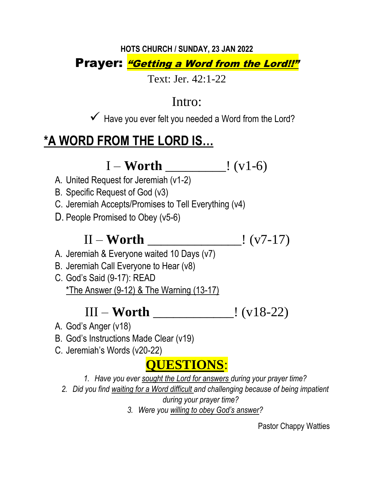#### **HOTS CHURCH / SUNDAY, 23 JAN 2022** Prayer: "Getting a Word from the Lord!!"

Text: Jer. 42:1-22

### Intro:

✓ Have you ever felt you needed a Word from the Lord?

## **\*A WORD FROM THE LORD IS…**

I – **Worth** \_\_\_\_\_\_\_\_\_! (v1-6)

- A. United Request for Jeremiah (v1-2)
- B. Specific Request of God (v3)
- C. Jeremiah Accepts/Promises to Tell Everything (v4)
- D. People Promised to Obey (v5-6)

# II – **Worth** \_\_\_\_\_\_\_\_\_\_\_\_\_\_! (v7-17)

- A. Jeremiah & Everyone waited 10 Days (v7)
- B. Jeremiah Call Everyone to Hear (v8)
- C. God's Said (9-17): READ  $*$ The Answer (9-12) & The Warning (13-17)

### III – **Worth** \_\_\_\_\_\_\_\_\_\_\_\_! (v18-22)

- A. God's Anger (v18)
- B. God's Instructions Made Clear (v19)
- C. Jeremiah's Words (v20-22)

## **QUESTIONS**:

*1. Have you ever sought the Lord for answers during your prayer time?*

- *2. Did you find waiting for a Word difficult and challenging because of being impatient during your prayer time?*
	- *3. Were you willing to obey God's answer?*

Pastor Chappy Watties